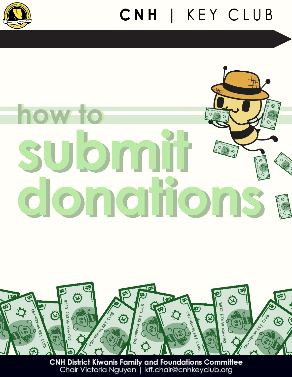

## CNH | KEY CLUB

# vomit donantons



**CNH District Kiwanis Family and Foundations Committee** Chair Victoria Nguyen | kff.chair@cnhkeyclub.org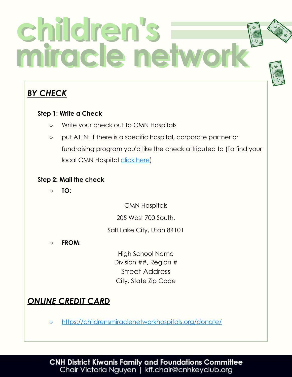## children's<br>miracle netwo

## *BY CHECK*

## **Step 1: Write a Check**

- Write your check out to CMN Hospitals
- put ATTN: if there is a specific hospital, corporate partner or fundraising program you'd like the check attributed to (To find your local CMN Hospital [click here](https://primarychildrens.childrensmiraclenetworkhospitals.org/?hospital_search))

## **Step 2: Mail the check**

○ **TO**:

CMN Hospitals

205 West 700 South,

Salt Lake City, Utah 84101

○ **FROM**:

High School Name Division ##, Region # Street Address City, State Zip Code

## *ONLINE CREDIT CARD*

○ <https://childrensmiraclenetworkhospitals.org/donate/>

**CNH District Kiwanis Family and Foundations Committee** Chair Victoria Nguyen | kff.chair@cnhkeyclub.org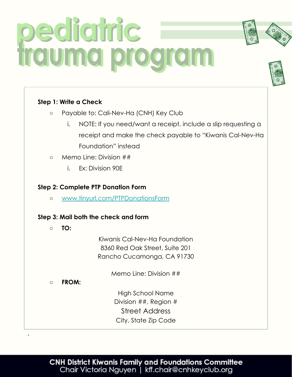## bidighic trauma program

## **Step 1: Write a Check**

- Payable to: Cali-Nev-Ha (CNH) Key Club
	- i. NOTE: If you need/want a receipt, include a slip requesting a receipt and make the check payable to "Kiwanis Cal-Nev-Ha Foundation" instead
- Memo Line: Division ##
	- i. Ex: Division 90E

## **Step 2: Complete PTP Donation Form**

○ [www.tinyurl.com/PTPDonationsForm](http://www.tinyurl.com/PTPDonationsForm)

## **Step 3: Mail both the check and form**

**○ TO:**

Kiwanis Cal-Nev-Ha Foundation 8360 Red Oak Street, Suite 201 Rancho Cucamonga, CA 91730

Memo Line: Division ##

**○ FROM:** 

`

High School Name Division ##, Region # Street Address City, State Zip Code

## **CNH District Kiwanis Family and Foundations Committee** Chair Victoria Nguyen | kff.chair@cnhkeyclub.org



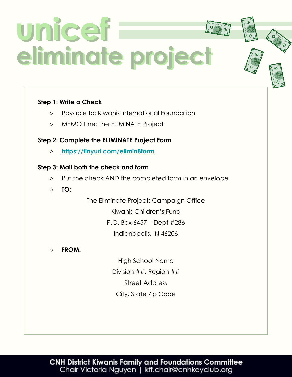## unicef eliminate project

## **Step 1: Write a Check**

- Payable to: Kiwanis International Foundation
- MEMO Line: The ELIMINATE Project

## **Step 2: Complete the ELIMINATE Project Form**

**○ <https://tinyurl.com/elimin8form>**

## **Step 3: Mail both the check and form**

- Put the check AND the completed form in an envelope
- **TO:**

The Eliminate Project: Campaign Office Kiwanis Children's Fund P.O. Box 6457 – Dept #286 Indianapolis, IN 46206

**○ FROM:**

High School Name Division ##, Region ## Street Address City, State Zip Code

## CNH District Kiwanis Family and Foundations Committee<br>Chair Victoria Nguyen | kff.chair@cnhkeyclub.org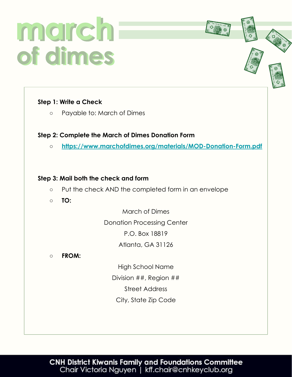## march of dimes

## **Step 1: Write a Check**

○ Payable to: March of Dimes

## **Step 2: Complete the March of Dimes Donation Form**

**○ <https://www.marchofdimes.org/materials/MOD-Donation-Form.pdf>**

### **Step 3: Mail both the check and form**

- Put the check AND the completed form in an envelope
- **TO:**

March of Dimes

Donation Processing Center P.O. Box 18819

Atlanta, GA 31126

**○ FROM:**

High School Name Division ##, Region ## Street Address City, State Zip Code

CNH District Kiwanis Family and Foundations Committee<br>Chair Victoria Nguyen | kff.chair@cnhkeyclub.org